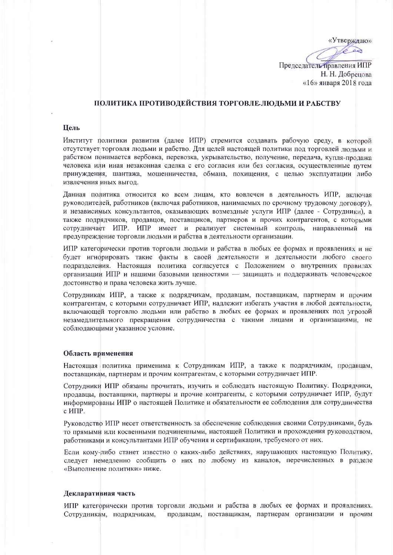«Утверждаю»  $\overrightarrow{a}$ Председатель правления ИПР

Н. Н. Добрецова «16» января 2018 года

# ПОЛИТИКА ПРОТИВОДЕЙСТВИЯ ТОРГОВЛЕ ЛЮДЬМИ И РАБСТВУ

# Пель

Институт политики развития (далее ИПР) стремится создавать рабочую среду, в которой отсутствует торговля людьми и рабство. Для целей настоящей политики под торговлей людьми и рабством понимается вербовка, перевозка, укрывательство, получение, передача, купля-продажа человека или иная незаконная сделка с его согласия или без согласия, осуществленные путем принуждения, шантажа, мошенничества, обмана, похищения, с целью эксплуатации либо извлечения иных выгод.

Данная политика относится ко всем лицам, кто вовлечен в деятельность ИПР, включая руководителей, работников (включая работников, нанимаемых по срочному трудовому договору), и независимых консультантов, оказывающих возмездные услуги ИПР (далее - Сотрудники), а также подрядчиков, продавцов, поставщиков, партнеров и прочих контрагентов, с которыми сотрудничает ИПР. ИПР имеет и реализует системный контроль, направленный на предупреждение торговли людьми и рабства в деятельности организации.

ИПР категорически против торговли людьми и рабства в любых ее формах и проявлениях и не будет игнорировать такие факты в своей деятельности и деятельности любого своего подразделения. Настоящая политика согласуется с Положением о внутренних правилах организации ИПР и нашими базовыми ценностями - защищать и поддерживать человеческое достоинство и права человека жить лучше.

Сотрудникам ИПР, а также к подрядчикам, продавцам, поставщикам, партнерам и прочим контрагентам, с которыми сотрудничает ИПР, надлежит избегать участия в любой деятельности, включающей торговлю людьми или рабство в любых ее формах и проявлениях под угрозой незамедлительного прекращения сотрудничества с такими лицами и организациями, не соблюдающими указанное условие.

### Область применения

Настоящая политика применима к Сотрудникам ИПР, а также к подрядчикам, продавцам, поставшикам, партнерам и прочим контрагентам, с которыми сотрудничает ИПР.

Сотрудники ИПР обязаны прочитать, изучить и соблюдать настоящую Политику. Подрядчики, продавцы, поставщики, партнеры и прочие контрагенты, с которыми сотрудничает ИПР, будут информированы ИПР о настоящей Политике и обязательности ее соблюдения для сотрудничества с $MIP$ .

Руководство ИПР несет ответственность за обеспечение соблюдения своими Сотрудниками, будь то прямыми или косвенными подчиненными, настоящей Политики и прохождения руководством, работниками и консультантами ИПР обучения и сертификации, требуемого от них.

Если кому-либо станет известно о каких-либо действиях, нарушающих настоящую Политику, следует немедленно сообщить о них по любому из каналов, перечисленных в разделе «Выполнение политики» ниже.

### Декларативная часть

ИПР категорически против торговли людьми и рабства в любых ее формах и проявлениях. Сотрудникам, подрядчикам, продавцам, поставщикам, партнерам организации и прочим